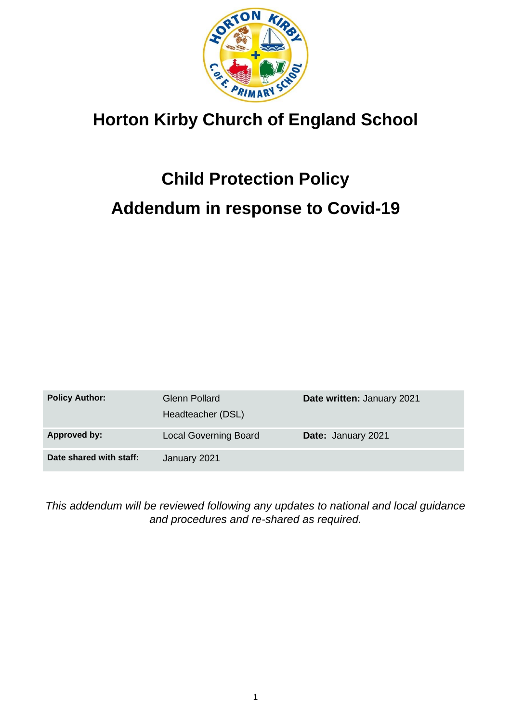

# **Horton Kirby Church of England School**

# **Child Protection Policy Addendum in response to Covid-19**

| <b>Policy Author:</b>   | <b>Glenn Pollard</b><br>Headteacher (DSL) | Date written: January 2021 |
|-------------------------|-------------------------------------------|----------------------------|
| Approved by:            | <b>Local Governing Board</b>              | Date: January 2021         |
| Date shared with staff: | January 2021                              |                            |

*This addendum will be reviewed following any updates to national and local guidance and procedures and re-shared as required.*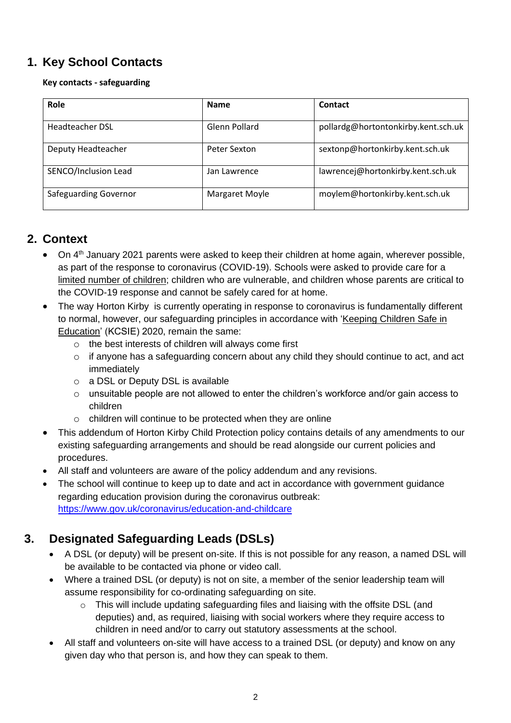# **1. Key School Contacts**

#### **Key contacts - safeguarding**

| Role                         | <b>Name</b>    | <b>Contact</b>                      |
|------------------------------|----------------|-------------------------------------|
| <b>Headteacher DSL</b>       | Glenn Pollard  | pollardg@hortontonkirby.kent.sch.uk |
| Deputy Headteacher           | Peter Sexton   | sextonp@hortonkirby.kent.sch.uk     |
| SENCO/Inclusion Lead         | Jan Lawrence   | lawrencej@hortonkirby.kent.sch.uk   |
| <b>Safeguarding Governor</b> | Margaret Moyle | moylem@hortonkirby.kent.sch.uk      |

#### **2. Context**

- On  $4<sup>th</sup>$  January 2021 parents were asked to keep their children at home again, wherever possible, as part of the response to coronavirus (COVID-19). Schools were asked to provide care for a [limited number of children;](https://www.gov.uk/government/publications/coronavirus-covid-19-maintaining-educational-provision/guidance-for-schools-colleges-and-local-authorities-on-maintaining-educational-provision) children who are vulnerable, and children whose parents are critical to the COVID-19 response and cannot be safely cared for at home.
- The way Horton Kirby is currently operating in response to coronavirus is fundamentally different to normal, however, our safeguarding principles in accordance with ['Keeping Children Safe in](https://www.gov.uk/government/publications/keeping-children-safe-in-education--2)  [Education'](https://www.gov.uk/government/publications/keeping-children-safe-in-education--2) (KCSIE) 2020, remain the same:
	- o the best interests of children will always come first
	- $\circ$  if anyone has a safeguarding concern about any child they should continue to act, and act immediately
	- o a DSL or Deputy DSL is available
	- o unsuitable people are not allowed to enter the children's workforce and/or gain access to children
	- o children will continue to be protected when they are online
- This addendum of Horton Kirby Child Protection policy contains details of any amendments to our existing safeguarding arrangements and should be read alongside our current policies and procedures.
- All staff and volunteers are aware of the policy addendum and any revisions.
- The school will continue to keep up to date and act in accordance with government guidance regarding education provision during the coronavirus outbreak: <https://www.gov.uk/coronavirus/education-and-childcare>

#### **3. Designated Safeguarding Leads (DSLs)**

- A DSL (or deputy) will be present on-site. If this is not possible for any reason, a named DSL will be available to be contacted via phone or video call.
- Where a trained DSL (or deputy) is not on site, a member of the senior leadership team will assume responsibility for co-ordinating safeguarding on site.
	- $\circ$  This will include updating safeguarding files and liaising with the offsite DSL (and deputies) and, as required, liaising with social workers where they require access to children in need and/or to carry out statutory assessments at the school.
- All staff and volunteers on-site will have access to a trained DSL (or deputy) and know on any given day who that person is, and how they can speak to them.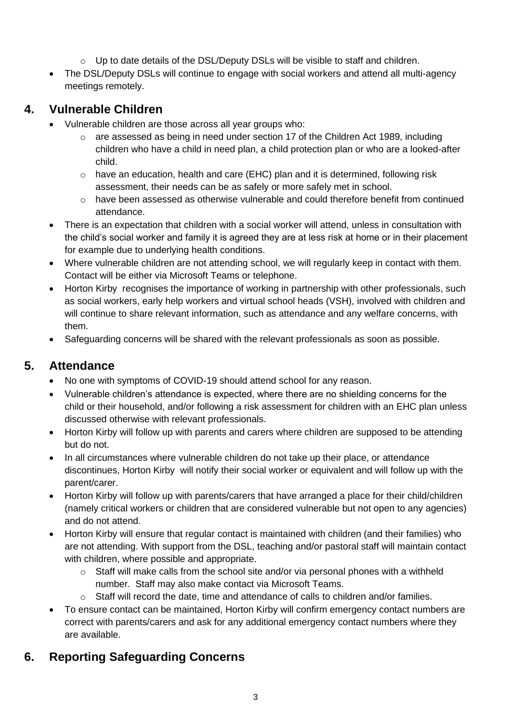- o Up to date details of the DSL/Deputy DSLs will be visible to staff and children.
- The DSL/Deputy DSLs will continue to engage with social workers and attend all multi-agency meetings remotely.

# **4. Vulnerable Children**

- Vulnerable children are those across all year groups who:
	- $\circ$  are assessed as being in need under section 17 of the Children Act 1989, including children who have a child in need plan, a child protection plan or who are a looked-after child.
	- $\circ$  have an education, health and care (EHC) plan and it is determined, following risk assessment, their needs can be as safely or more safely met in school.
	- o have been assessed as otherwise vulnerable and could therefore benefit from continued attendance.
- There is an expectation that children with a social worker will attend, unless in consultation with the child's social worker and family it is agreed they are at less risk at home or in their placement for example due to underlying health conditions.
- Where vulnerable children are not attending school, we will regularly keep in contact with them. Contact will be either via Microsoft Teams or telephone.
- Horton Kirby recognises the importance of working in partnership with other professionals, such as social workers, early help workers and virtual school heads (VSH), involved with children and will continue to share relevant information, such as attendance and any welfare concerns, with them.
- Safeguarding concerns will be shared with the relevant professionals as soon as possible.

# **5. Attendance**

- No one with symptoms of COVID-19 should attend school for any reason.
- Vulnerable children's attendance is expected, where there are no shielding concerns for the child or their household, and/or following a risk assessment for children with an EHC plan unless discussed otherwise with relevant professionals.
- Horton Kirby will follow up with parents and carers where children are supposed to be attending but do not.
- In all circumstances where vulnerable children do not take up their place, or attendance discontinues, Horton Kirby will notify their social worker or equivalent and will follow up with the parent/carer.
- Horton Kirby will follow up with parents/carers that have arranged a place for their child/children (namely critical workers or children that are considered vulnerable but not open to any agencies) and do not attend.
- Horton Kirby will ensure that regular contact is maintained with children (and their families) who are not attending. With support from the DSL, teaching and/or pastoral staff will maintain contact with children, where possible and appropriate.
	- $\circ$  Staff will make calls from the school site and/or via personal phones with a withheld number. Staff may also make contact via Microsoft Teams.
	- $\circ$  Staff will record the date, time and attendance of calls to children and/or families.
- To ensure contact can be maintained, Horton Kirby will confirm emergency contact numbers are correct with parents/carers and ask for any additional emergency contact numbers where they are available.

# **6. Reporting Safeguarding Concerns**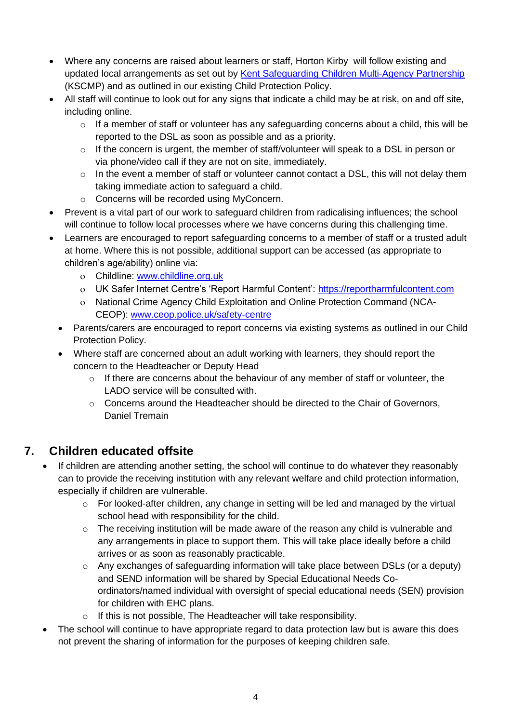- Where any concerns are raised about learners or staff, Horton Kirby will follow existing and updated local arrangements as set out by [Kent Safeguarding Children Multi-Agency Partnership](https://www.kscmp.org.uk/) (KSCMP) and as outlined in our existing Child Protection Policy.
- All staff will continue to look out for any signs that indicate a child may be at risk, on and off site, including online.
	- o If a member of staff or volunteer has any safeguarding concerns about a child, this will be reported to the DSL as soon as possible and as a priority.
	- $\circ$  If the concern is urgent, the member of staff/volunteer will speak to a DSL in person or via phone/video call if they are not on site, immediately.
	- o In the event a member of staff or volunteer cannot contact a DSL, this will not delay them taking immediate action to safeguard a child.
	- o Concerns will be recorded using MyConcern.
- Prevent is a vital part of our work to safeguard children from radicalising influences; the school will continue to follow local processes where we have concerns during this challenging time.
- Learners are encouraged to report safeguarding concerns to a member of staff or a trusted adult at home. Where this is not possible, additional support can be accessed (as appropriate to children's age/ability) online via:
	- Childline: [www.childline.org.uk](http://www.childline.org.uk/)
	- UK Safer Internet Centre's 'Report Harmful Content': [https://reportharmfulcontent.com](https://reportharmfulcontent.com/)
	- National Crime Agency Child Exploitation and Online Protection Command (NCA-CEOP): [www.ceop.police.uk/safety-centre](https://www.ceop.police.uk/safety-centre/)
	- Parents/carers are encouraged to report concerns via existing systems as outlined in our Child Protection Policy.
	- Where staff are concerned about an adult working with learners, they should report the concern to the Headteacher or Deputy Head
		- o If there are concerns about the behaviour of any member of staff or volunteer, the LADO service will be consulted with.
		- $\circ$  Concerns around the Headteacher should be directed to the Chair of Governors, Daniel Tremain

#### **7. Children educated offsite**

- If children are attending another setting, the school will continue to do whatever they reasonably can to provide the receiving institution with any relevant welfare and child protection information, especially if children are vulnerable.
	- o For looked-after children, any change in setting will be led and managed by the virtual school head with responsibility for the child.
	- o The receiving institution will be made aware of the reason any child is vulnerable and any arrangements in place to support them. This will take place ideally before a child arrives or as soon as reasonably practicable.
	- $\circ$  Any exchanges of safeguarding information will take place between DSLs (or a deputy) and SEND information will be shared by Special Educational Needs Coordinators/named individual with oversight of special educational needs (SEN) provision for children with EHC plans.
	- o If this is not possible, The Headteacher will take responsibility.
- The school will continue to have appropriate regard to data protection law but is aware this does not prevent the sharing of information for the purposes of keeping children safe.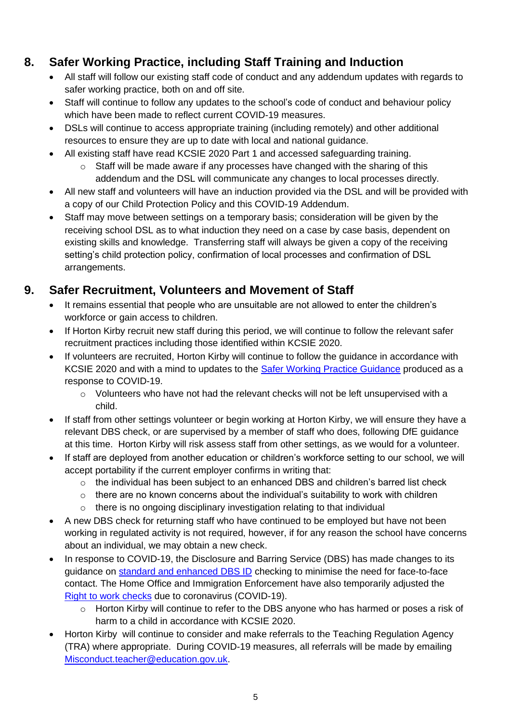# **8. Safer Working Practice, including Staff Training and Induction**

- All staff will follow our existing staff code of conduct and any addendum updates with regards to safer working practice, both on and off site.
- Staff will continue to follow any updates to the school's code of conduct and behaviour policy which have been made to reflect current COVID-19 measures.
- DSLs will continue to access appropriate training (including remotely) and other additional resources to ensure they are up to date with local and national guidance.
- All existing staff have read KCSIE 2020 Part 1 and accessed safeguarding training.
	- o Staff will be made aware if any processes have changed with the sharing of this addendum and the DSL will communicate any changes to local processes directly.
- All new staff and volunteers will have an induction provided via the DSL and will be provided with a copy of our Child Protection Policy and this COVID-19 Addendum.
- Staff may move between settings on a temporary basis; consideration will be given by the receiving school DSL as to what induction they need on a case by case basis, dependent on existing skills and knowledge. Transferring staff will always be given a copy of the receiving setting's child protection policy, confirmation of local processes and confirmation of DSL arrangements.

# **9. Safer Recruitment, Volunteers and Movement of Staff**

- It remains essential that people who are unsuitable are not allowed to enter the children's workforce or gain access to children.
- If Horton Kirby recruit new staff during this period, we will continue to follow the relevant safer recruitment practices including those identified within KCSIE 2020.
- If volunteers are recruited, Horton Kirby will continue to follow the guidance in accordance with KCSIE 2020 and with a mind to updates to the [Safer Working Practice Guidance](https://www.saferrecruitmentconsortium.org/GSWP%20COVID%20addendum%20April%202020%20final.pdf) produced as a response to COVID-19.
	- o Volunteers who have not had the relevant checks will not be left unsupervised with a child.
- If staff from other settings volunteer or begin working at Horton Kirby, we will ensure they have a relevant DBS check, or are supervised by a member of staff who does, following DfE guidance at this time. Horton Kirby will risk assess staff from other settings, as we would for a volunteer.
- If staff are deployed from another education or children's workforce setting to our school, we will accept portability if the current employer confirms in writing that:
	- $\circ$  the individual has been subject to an enhanced DBS and children's barred list check
	- $\circ$  there are no known concerns about the individual's suitability to work with children
	- o there is no ongoing disciplinary investigation relating to that individual
- A new DBS check for returning staff who have continued to be employed but have not been working in regulated activity is not required, however, if for any reason the school have concerns about an individual, we may obtain a new check.
- In response to COVID-19, the Disclosure and Barring Service (DBS) has made changes to its guidance on [standard and enhanced DBS ID](https://www.gov.uk/government/news/covid-19-changes-to-dbs-id-checking-guidelines) checking to minimise the need for face-to-face contact. The Home Office and Immigration Enforcement have also temporarily adjusted the [Right to work checks](https://www.gov.uk/guidance/coronavirus-covid-19-right-to-work-checks) due to coronavirus (COVID-19).
	- o Horton Kirby will continue to refer to the DBS anyone who has harmed or poses a risk of harm to a child in accordance with KCSIE 2020.
- Horton Kirby will continue to consider and make referrals to the Teaching Regulation Agency (TRA) where appropriate. During COVID-19 measures, all referrals will be made by emailing [Misconduct.teacher@education.gov.uk.](mailto:Misconduct.teacher@education.gov.uk)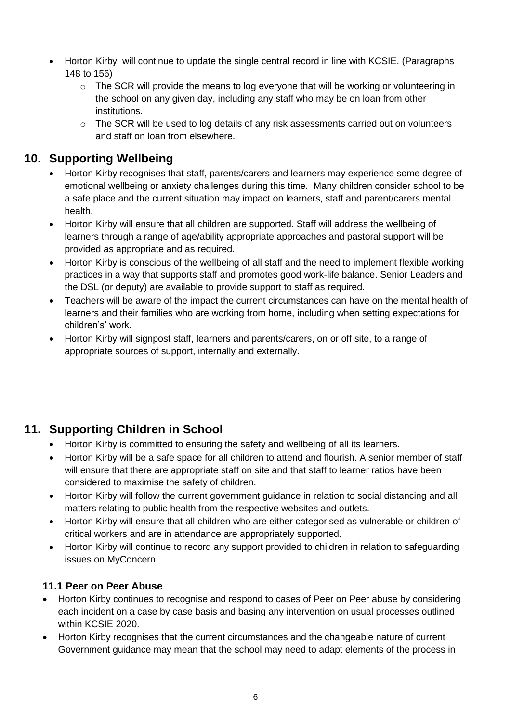- Horton Kirby will continue to update the single central record in line with KCSIE. (Paragraphs 148 to 156)
	- $\circ$  The SCR will provide the means to log everyone that will be working or volunteering in the school on any given day, including any staff who may be on loan from other institutions.
	- o The SCR will be used to log details of any risk assessments carried out on volunteers and staff on loan from elsewhere.

#### **10. Supporting Wellbeing**

- Horton Kirby recognises that staff, parents/carers and learners may experience some degree of emotional wellbeing or anxiety challenges during this time. Many children consider school to be a safe place and the current situation may impact on learners, staff and parent/carers mental health.
- Horton Kirby will ensure that all children are supported. Staff will address the wellbeing of learners through a range of age/ability appropriate approaches and pastoral support will be provided as appropriate and as required.
- Horton Kirby is conscious of the wellbeing of all staff and the need to implement flexible working practices in a way that supports staff and promotes good work-life balance. Senior Leaders and the DSL (or deputy) are available to provide support to staff as required.
- Teachers will be aware of the impact the current circumstances can have on the mental health of learners and their families who are working from home, including when setting expectations for children's' work.
- Horton Kirby will signpost staff, learners and parents/carers, on or off site, to a range of appropriate sources of support, internally and externally.

#### **11. Supporting Children in School**

- Horton Kirby is committed to ensuring the safety and wellbeing of all its learners.
- Horton Kirby will be a safe space for all children to attend and flourish. A senior member of staff will ensure that there are appropriate staff on site and that staff to learner ratios have been considered to maximise the safety of children.
- Horton Kirby will follow the current government guidance in relation to social distancing and all matters relating to public health from the respective websites and outlets.
- Horton Kirby will ensure that all children who are either categorised as vulnerable or children of critical workers and are in attendance are appropriately supported.
- Horton Kirby will continue to record any support provided to children in relation to safeguarding issues on MyConcern.

#### **11.1 Peer on Peer Abuse**

- Horton Kirby continues to recognise and respond to cases of Peer on Peer abuse by considering each incident on a case by case basis and basing any intervention on usual processes outlined within KCSIE 2020.
- Horton Kirby recognises that the current circumstances and the changeable nature of current Government guidance may mean that the school may need to adapt elements of the process in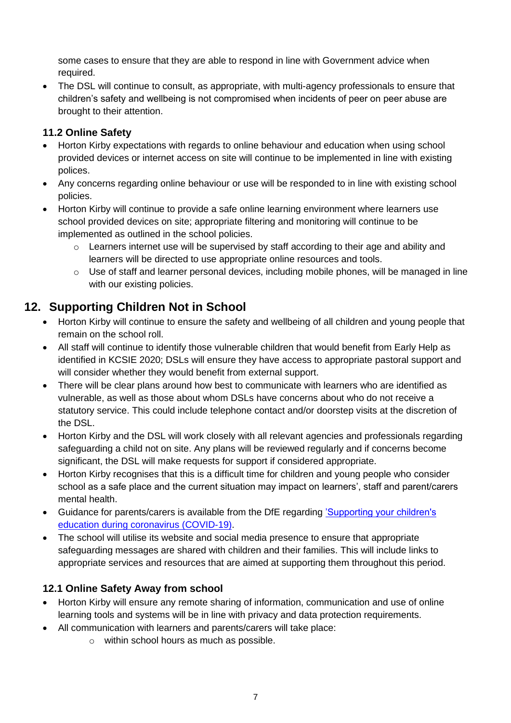some cases to ensure that they are able to respond in line with Government advice when required.

• The DSL will continue to consult, as appropriate, with multi-agency professionals to ensure that children's safety and wellbeing is not compromised when incidents of peer on peer abuse are brought to their attention.

#### **11.2 Online Safety**

- Horton Kirby expectations with regards to online behaviour and education when using school provided devices or internet access on site will continue to be implemented in line with existing polices.
- Any concerns regarding online behaviour or use will be responded to in line with existing school policies.
- Horton Kirby will continue to provide a safe online learning environment where learners use school provided devices on site; appropriate filtering and monitoring will continue to be implemented as outlined in the school policies.
	- o Learners internet use will be supervised by staff according to their age and ability and learners will be directed to use appropriate online resources and tools.
	- $\circ$  Use of staff and learner personal devices, including mobile phones, will be managed in line with our existing policies.

#### **12. Supporting Children Not in School**

- Horton Kirby will continue to ensure the safety and wellbeing of all children and young people that remain on the school roll.
- All staff will continue to identify those vulnerable children that would benefit from Early Help as identified in KCSIE 2020; DSLs will ensure they have access to appropriate pastoral support and will consider whether they would benefit from external support.
- There will be clear plans around how best to communicate with learners who are identified as vulnerable, as well as those about whom DSLs have concerns about who do not receive a statutory service. This could include telephone contact and/or doorstep visits at the discretion of the DSL.
- Horton Kirby and the DSL will work closely with all relevant agencies and professionals regarding safeguarding a child not on site. Any plans will be reviewed regularly and if concerns become significant, the DSL will make requests for support if considered appropriate.
- Horton Kirby recognises that this is a difficult time for children and young people who consider school as a safe place and the current situation may impact on learners', staff and parent/carers mental health.
- Guidance for parents/carers is available from the DfE regarding ['Supporting your children's](https://www.gov.uk/guidance/supporting-your-childrens-education-during-coronavirus-covid-19)  [education during coronavirus \(COVID-19\).](https://www.gov.uk/guidance/supporting-your-childrens-education-during-coronavirus-covid-19)
- The school will utilise its website and social media presence to ensure that appropriate safeguarding messages are shared with children and their families. This will include links to appropriate services and resources that are aimed at supporting them throughout this period.

#### **12.1 Online Safety Away from school**

- Horton Kirby will ensure any remote sharing of information, communication and use of online learning tools and systems will be in line with privacy and data protection requirements.
- All communication with learners and parents/carers will take place:
	- o within school hours as much as possible.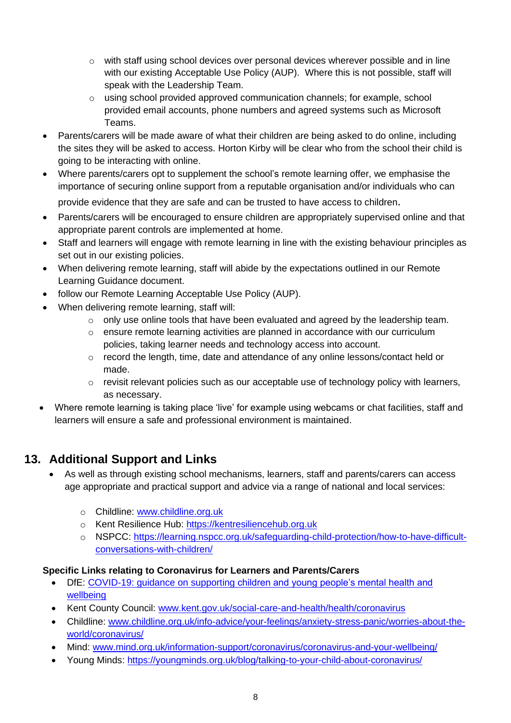- $\circ$  with staff using school devices over personal devices wherever possible and in line with our existing Acceptable Use Policy (AUP). Where this is not possible, staff will speak with the Leadership Team.
- o using school provided approved communication channels; for example, school provided email accounts, phone numbers and agreed systems such as Microsoft Teams.
- Parents/carers will be made aware of what their children are being asked to do online, including the sites they will be asked to access. Horton Kirby will be clear who from the school their child is going to be interacting with online.
- Where parents/carers opt to supplement the school's remote learning offer, we emphasise the importance of securing online support from a reputable organisation and/or individuals who can provide evidence that they are safe and can be trusted to have access to children.
- Parents/carers will be encouraged to ensure children are appropriately supervised online and that appropriate parent controls are implemented at home.
- Staff and learners will engage with remote learning in line with the existing behaviour principles as set out in our existing policies.
- When delivering remote learning, staff will abide by the expectations outlined in our Remote Learning Guidance document.
- follow our Remote Learning Acceptable Use Policy (AUP).
- When delivering remote learning, staff will:
	- $\circ$  only use online tools that have been evaluated and agreed by the leadership team.
	- $\circ$  ensure remote learning activities are planned in accordance with our curriculum policies, taking learner needs and technology access into account.
	- $\circ$  record the length, time, date and attendance of any online lessons/contact held or made.
	- $\circ$  revisit relevant policies such as our acceptable use of technology policy with learners, as necessary.
- Where remote learning is taking place 'live' for example using webcams or chat facilities, staff and learners will ensure a safe and professional environment is maintained.

# **13. Additional Support and Links**

- As well as through existing school mechanisms, learners, staff and parents/carers can access age appropriate and practical support and advice via a range of national and local services:
	- o Childline: [www.childline.org.uk](https://www.childline.org.uk/)
	- o Kent Resilience Hub: [https://kentresiliencehub.org.uk](https://kentresiliencehub.org.uk/)
	- o NSPCC: [https://learning.nspcc.org.uk/safeguarding-child-protection/how-to-have-difficult](https://learning.nspcc.org.uk/safeguarding-child-protection/how-to-have-difficult-conversations-with-children/)[conversations-with-children/](https://learning.nspcc.org.uk/safeguarding-child-protection/how-to-have-difficult-conversations-with-children/)

#### **Specific Links relating to Coronavirus for Learners and Parents/Carers**

- DfE: COVID-19: guidance on supporting children and young people's mental health and [wellbeing](https://www.gov.uk/government/publications/covid-19-guidance-on-supporting-children-and-young-peoples-mental-health-and-wellbeing?)
- Kent County Council: [www.kent.gov.uk/social-care-and-health/health/coronavirus](http://www.kent.gov.uk/social-care-and-health/health/coronavirus)
- Childline: [www.childline.org.uk/info-advice/your-feelings/anxiety-stress-panic/worries-about-the](http://www.childline.org.uk/info-advice/your-feelings/anxiety-stress-panic/worries-about-the-world/coronavirus/)[world/coronavirus/](http://www.childline.org.uk/info-advice/your-feelings/anxiety-stress-panic/worries-about-the-world/coronavirus/)
- Mind: [www.mind.org.uk/information-support/coronavirus/coronavirus-and-your-wellbeing/](http://www.mind.org.uk/information-support/coronavirus/coronavirus-and-your-wellbeing/)
- Young Minds:<https://youngminds.org.uk/blog/talking-to-your-child-about-coronavirus/>